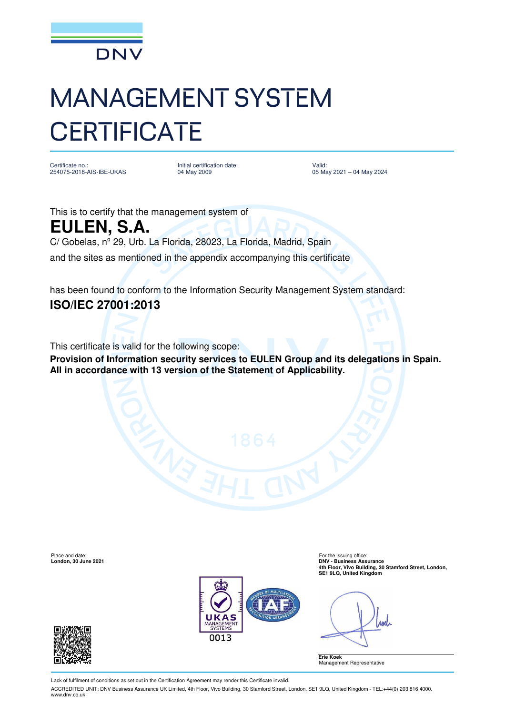

## MANAGEMENT SYSTEM **CERTIFICATE**

Certificate no.: 254075-2018-AIS-IBE-UKAS Initial certification date: 04 May 2009

Valid: 05 May 2021 – 04 May 2024

This is to certify that the management system of **EULEN, S.A.**  C/ Gobelas, nº 29, Urb. La Florida, 28023, La Florida, Madrid, Spain and the sites as mentioned in the appendix accompanying this certificate

has been found to conform to the Information Security Management System standard: **ISO/IEC 27001:2013**

This certificate is valid for the following scope:

**Provision of Information security services to EULEN Group and its delegations in Spain. All in accordance with 13 version of the Statement of Applicability.** 

Place and date: For the issuing office<br> **Place and date:** For the issuing office<br> **Porton 2021**<br> **PONY - Business Ass** 



**London, 30 June 2021 DNV - Business Assurance 4th Floor, Vivo Building, 30 Stamford Street, London, SE1 9LQ, United Kingdom** 

And





Lack of fulfilment of conditions as set out in the Certification Agreement may render this Certificate invalid.

ACCREDITED UNIT: DNV Business Assurance UK Limited, 4th Floor, Vivo Building, 30 Stamford Street, London, SE1 9LQ, United Kingdom - TEL:+44(0) 203 816 4000. www.dnv.co.uk